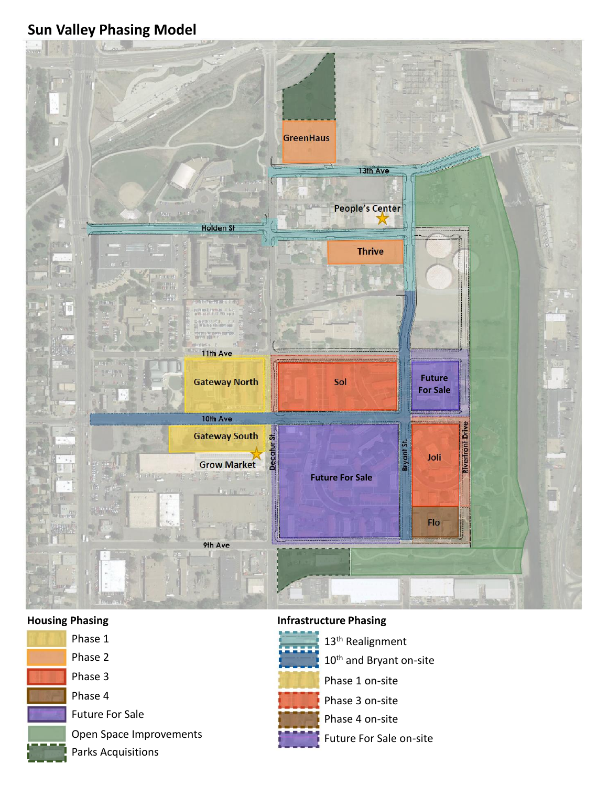# **Sun Valley Phasing Model**





Phase 2 Phase 3 Phase 4 Future For Sale Open Space Improvements

### **Housing Phasing Infrastructure Phasing**



13th Realignment 10<sup>th</sup> and Bryant on-site

- Phase 1 on-site
- Phase 3 on-site
- Phase 4 on-site
- Future For Sale on-site